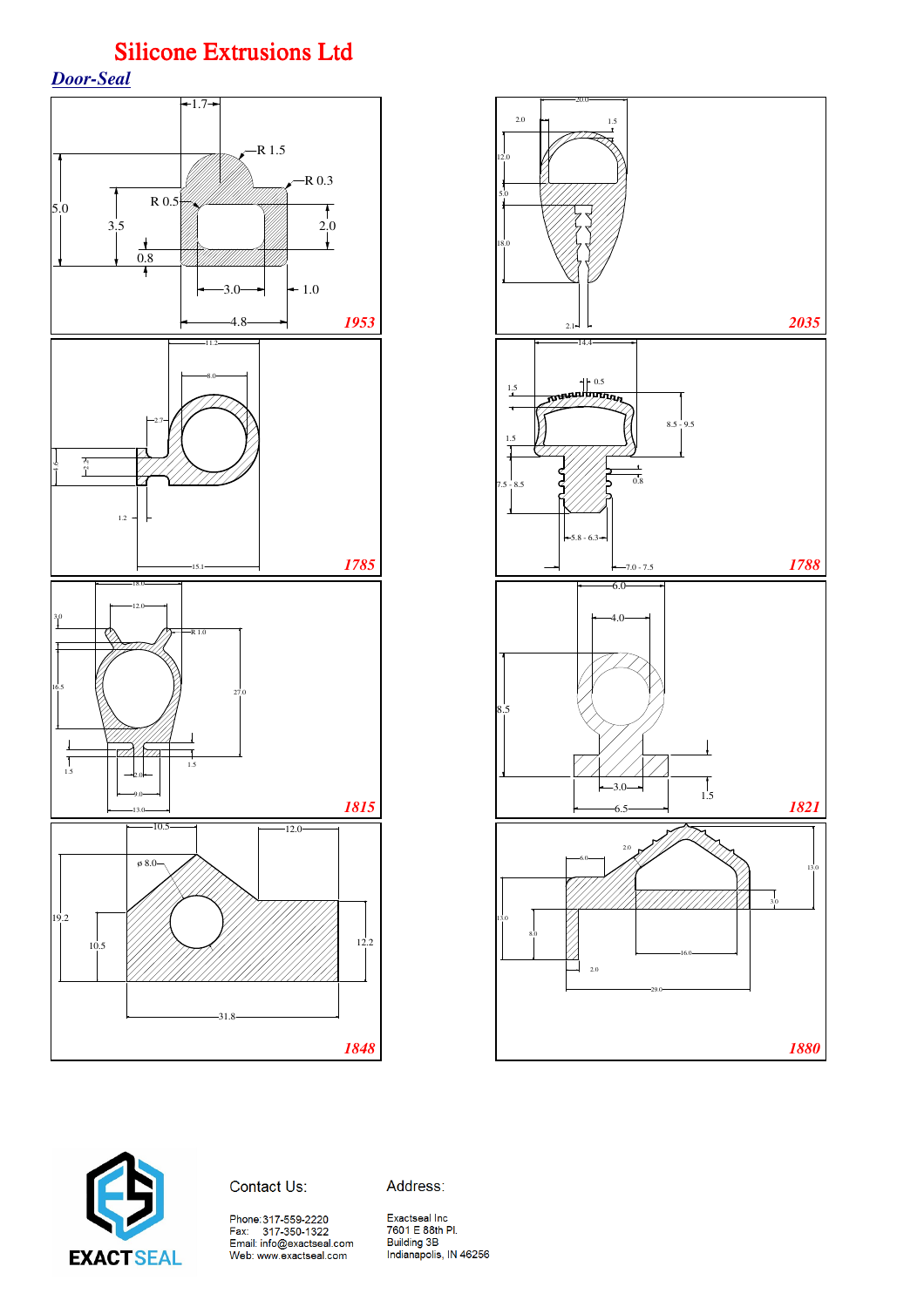*Door-Seal*







Address:

Phone:317-559-2220<br>Fax: 317-350-1322<br>Email: info@exactseal.com<br>Web: www.exactseal.com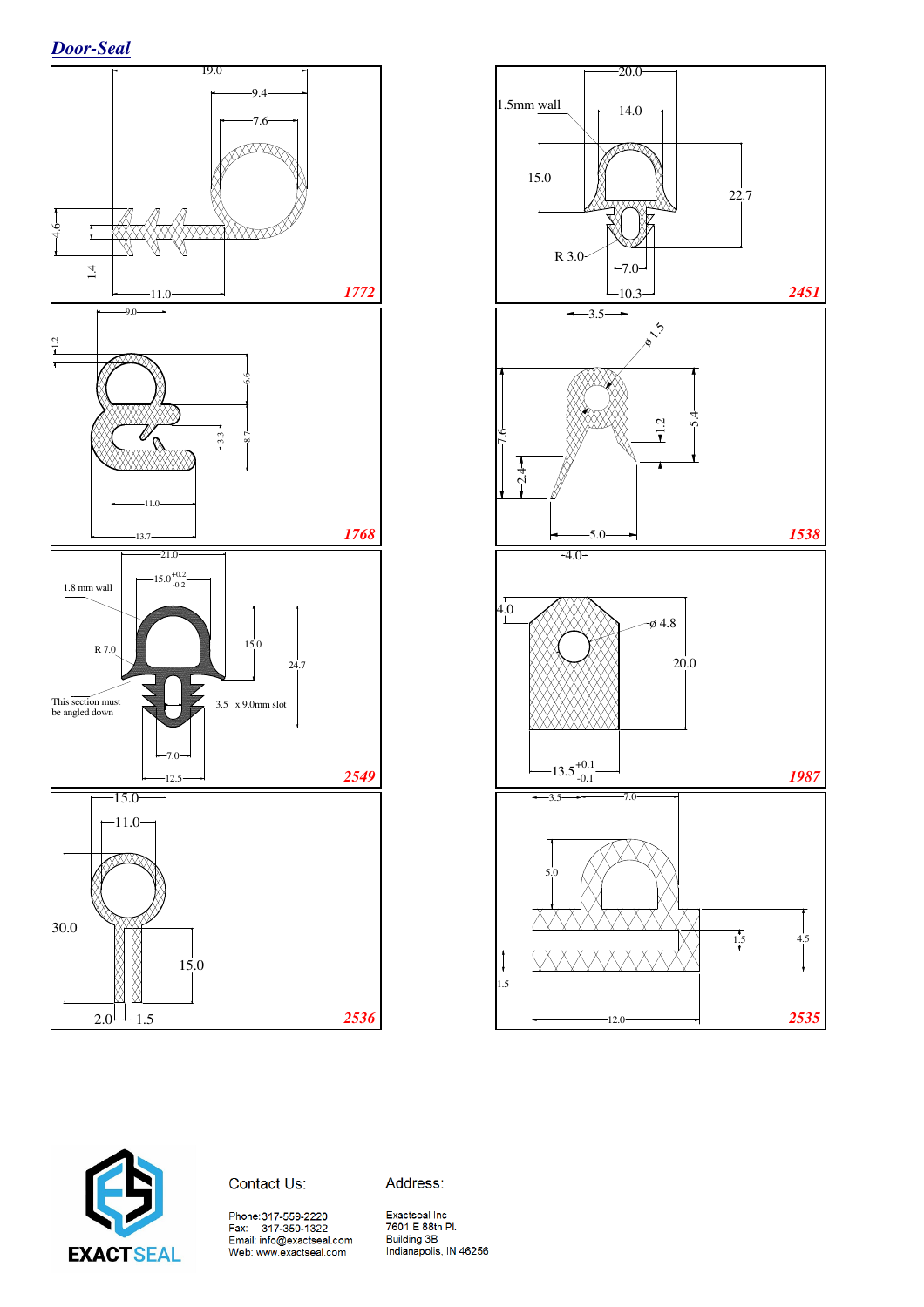





Address:

Phone:317-559-2220<br>Fax: 317-350-1322<br>Email: info@exactseal.com<br>Web: www.exactseal.com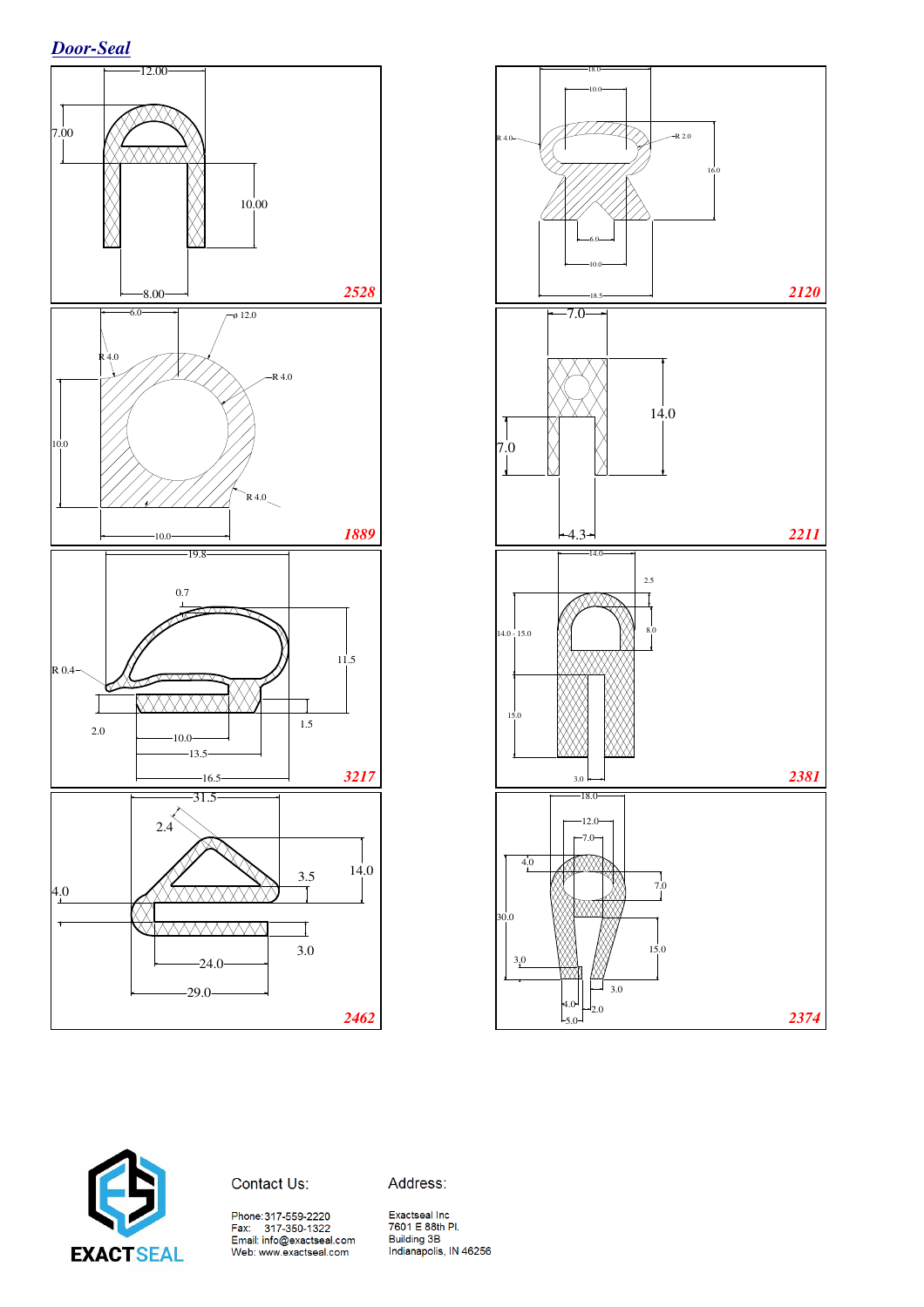





#### Contact Us:

Address: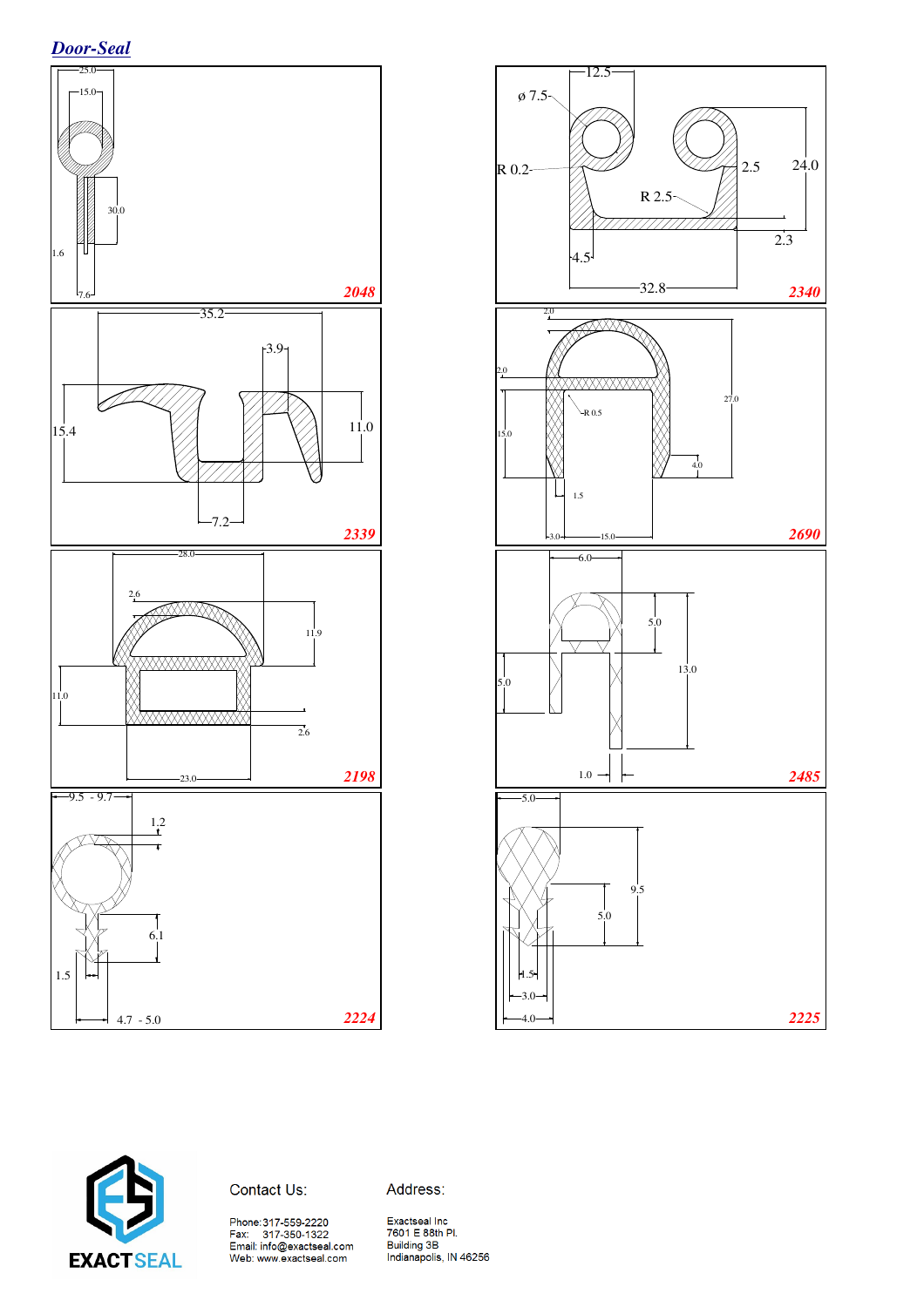







Address:

Phone:317-559-2220<br>Fax: 317-350-1322<br>Email: info@exactseal.com Web: www.exactseal.com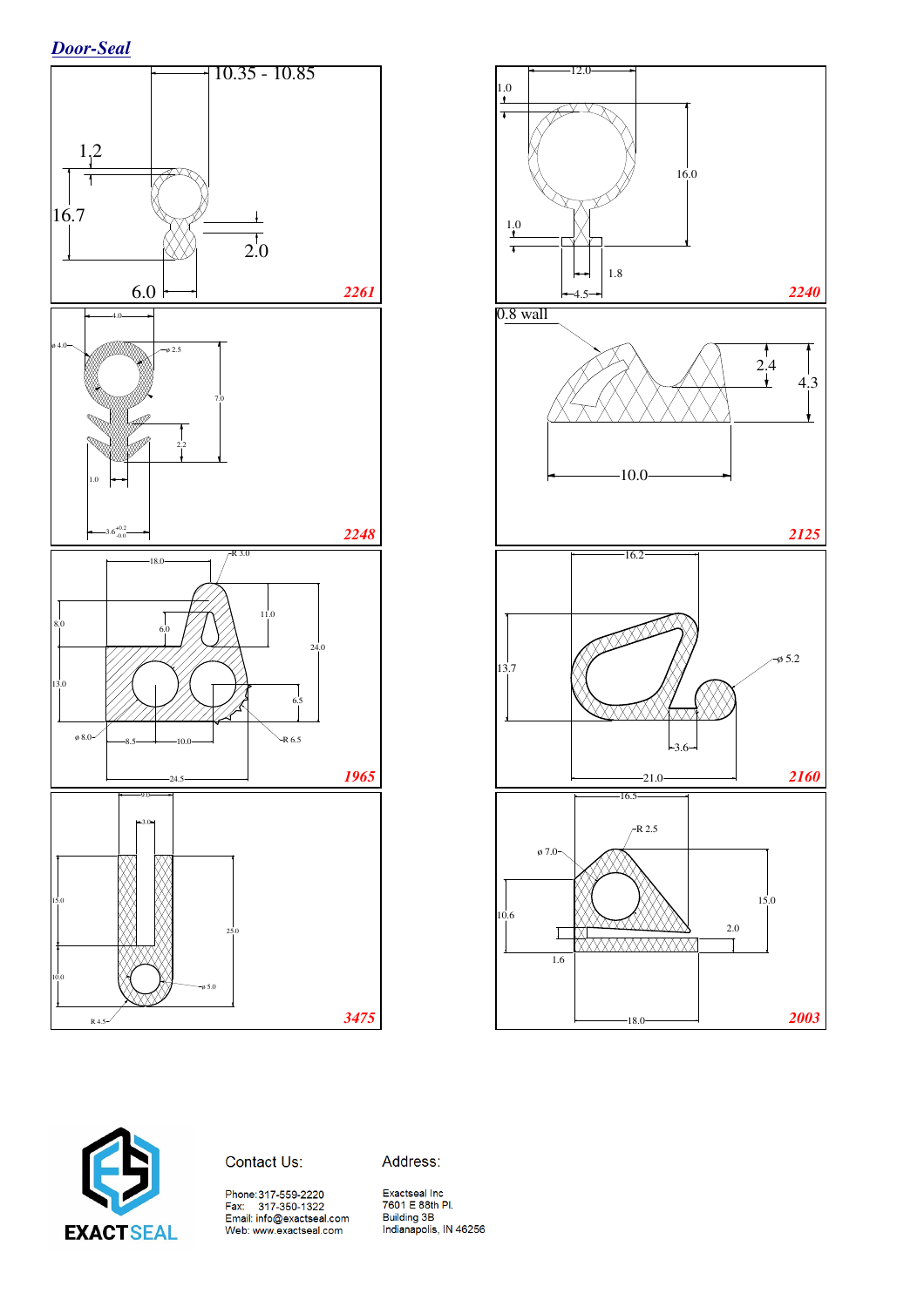*Door-Seal*







Address: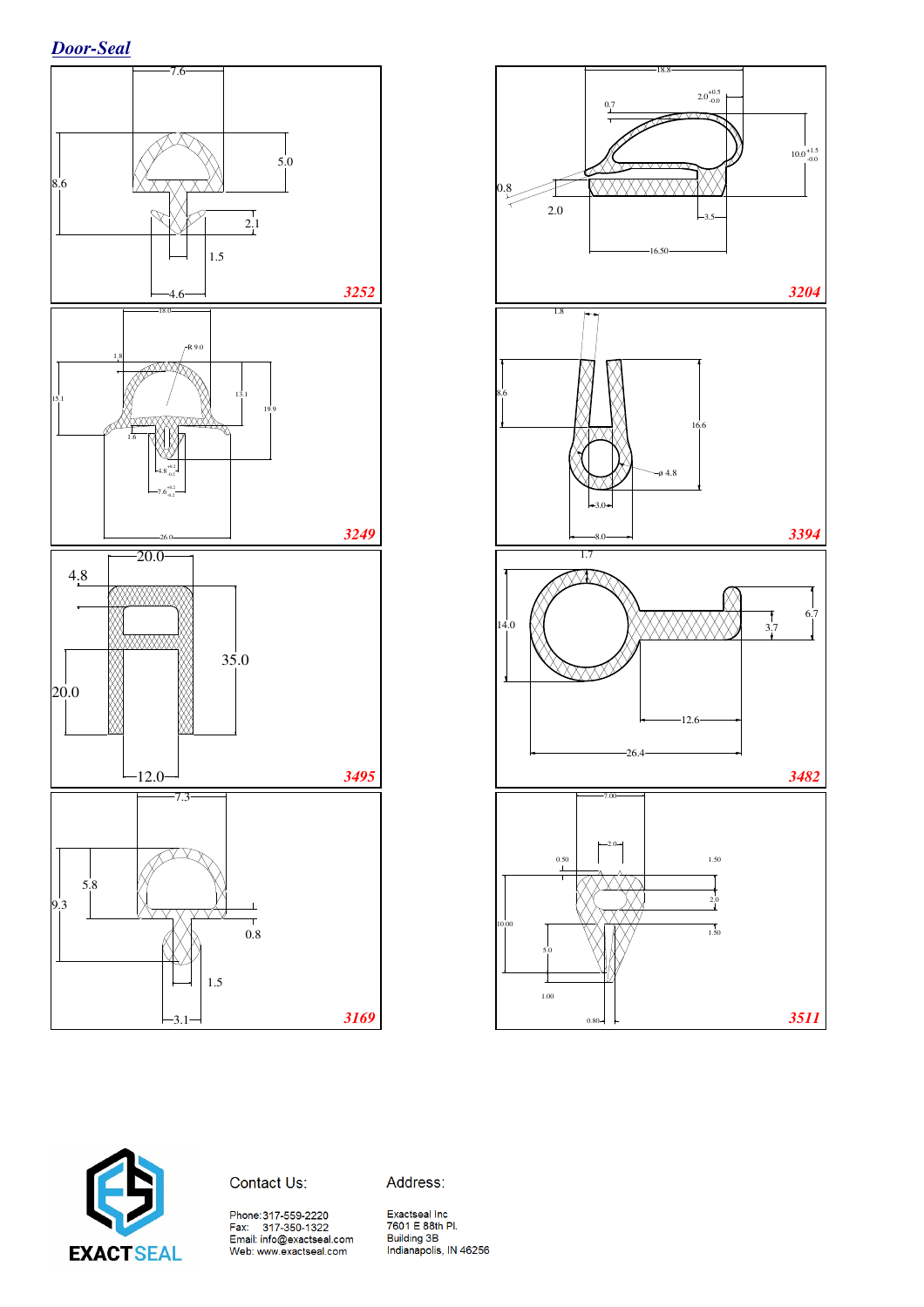





Contact Us:

Address:

Phone:317-559-2220<br>Fax: 317-350-1322<br>Email: info@exactseal.com<br>Web: www.exactseal.com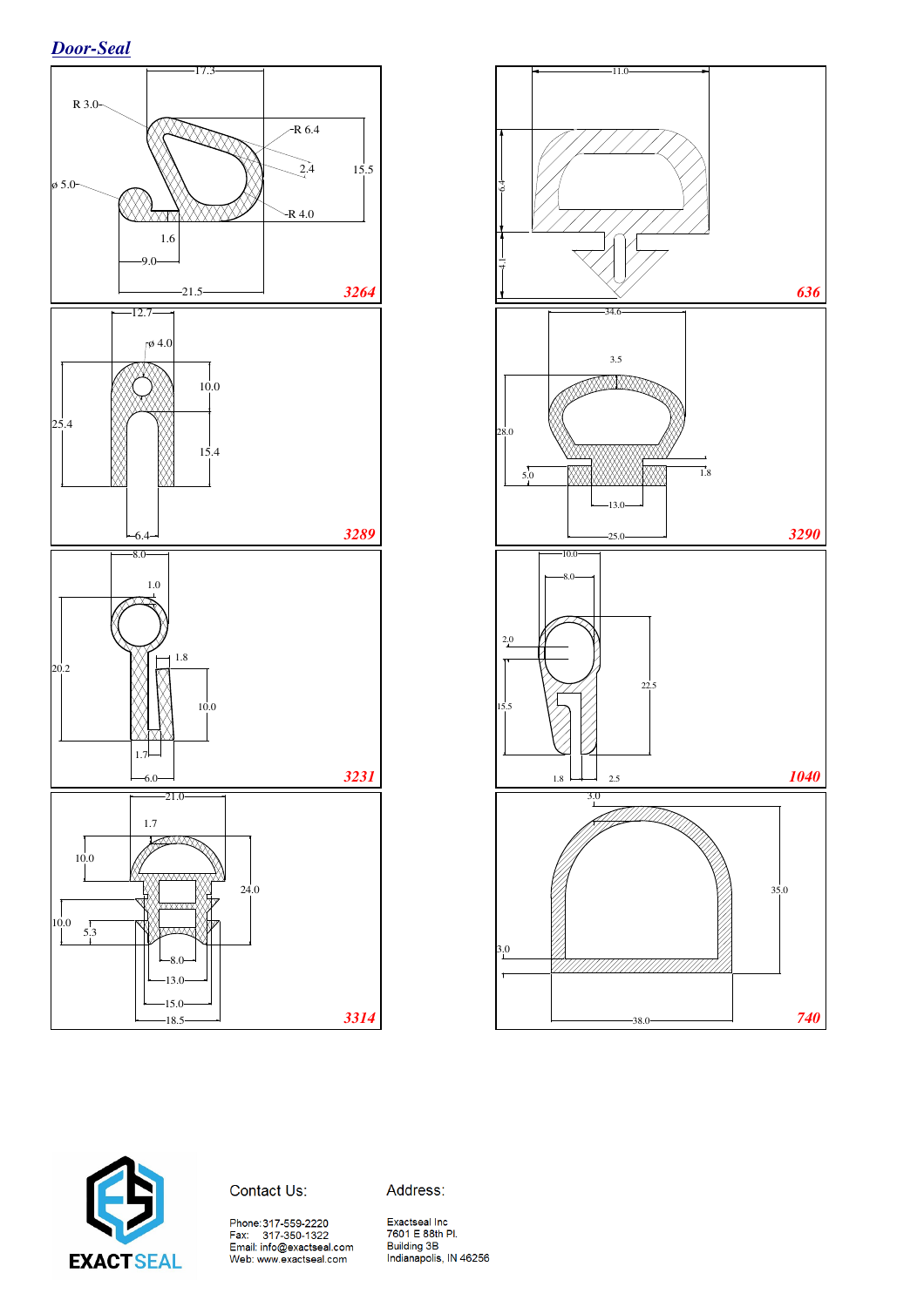*Door-Seal*







Address:

Phone:317-559-2220<br>Fax: 317-350-1322<br>Email: info@exactseal.com Web: www.exactseal.com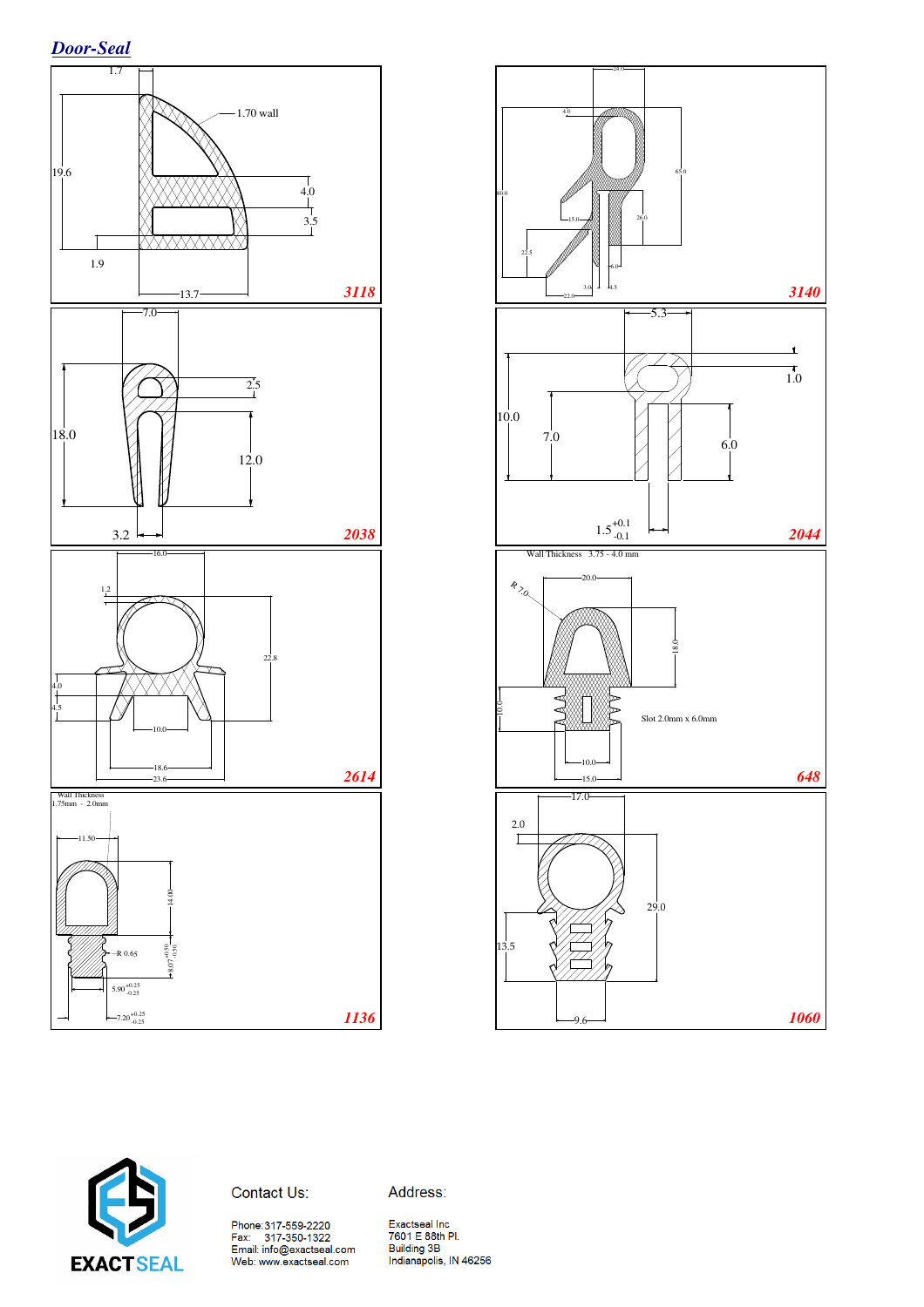





Contact Us:

Address:

Phone:317-559-2220<br>Fax: 317-350-1322<br>Email: info@exactseal.com Web: www.exactseal.com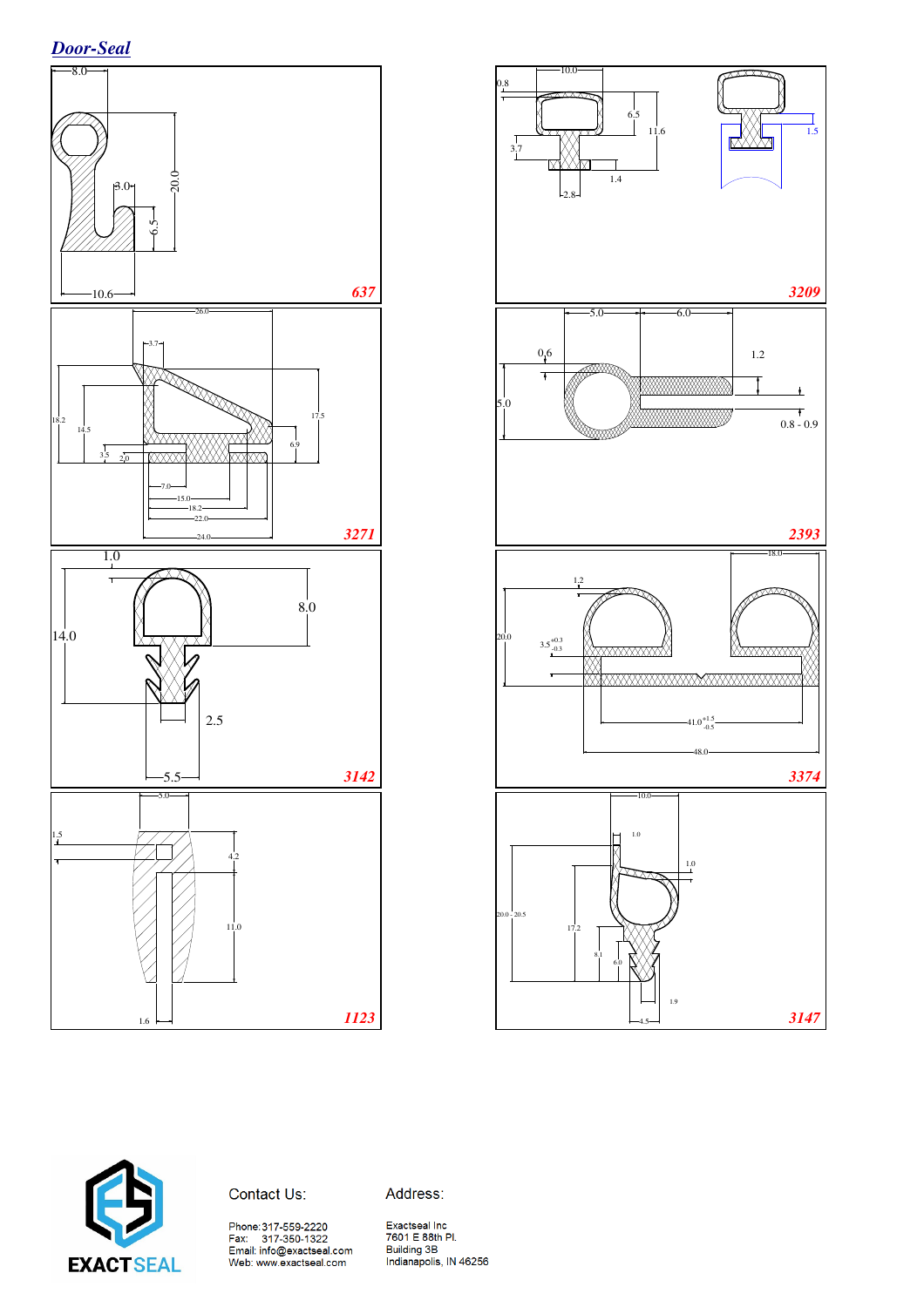





Contact Us:

Address:

Phone:317-559-2220<br>Fax: 317-350-1322<br>Email: info@exactseal.com<br>Web: www.exactseal.com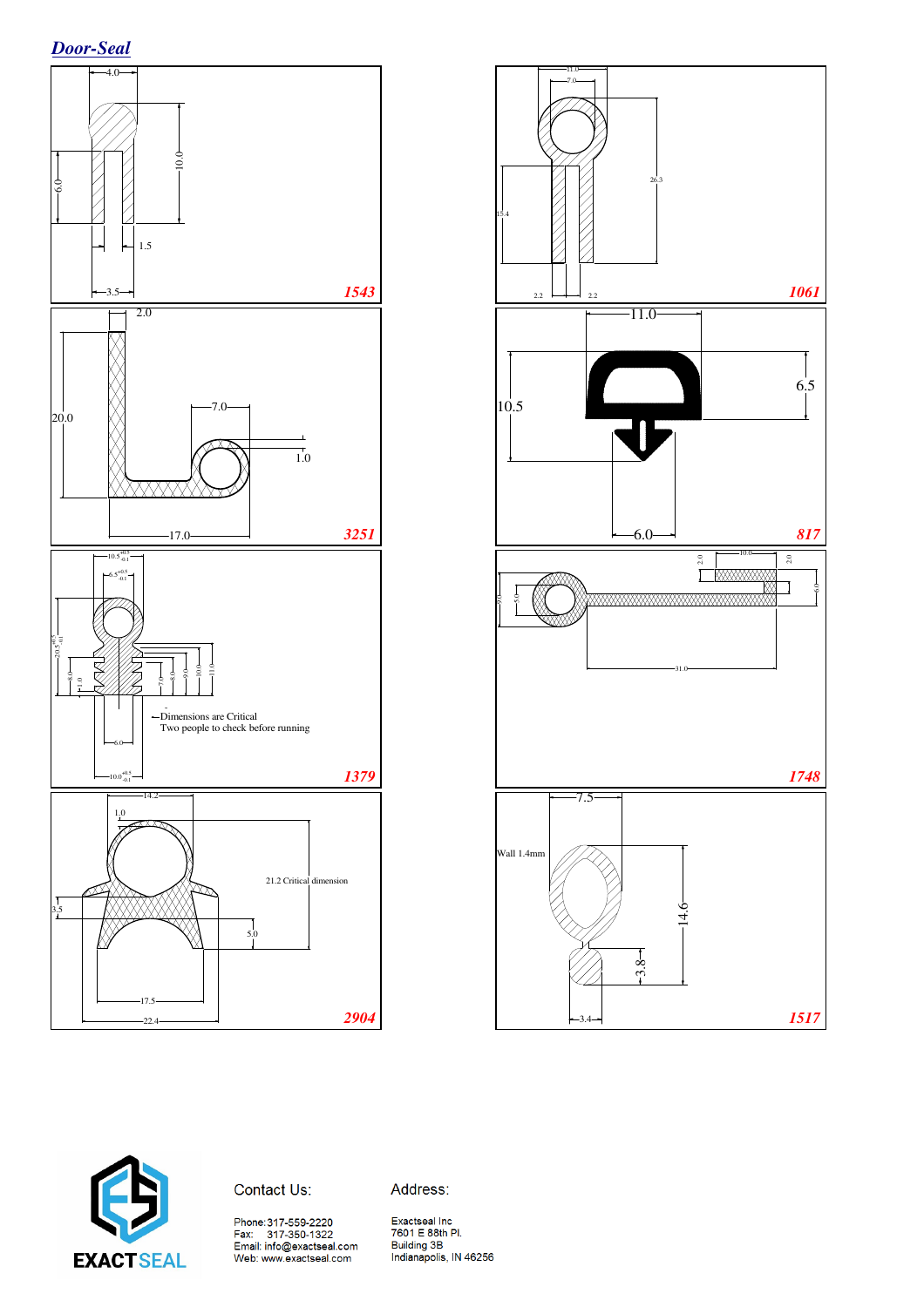







Address:

Phone:317-559-2220<br>Fax: 317-350-1322<br>Email: info@exactseal.com<br>Web: www.exactseal.com

Exactseal Inc<br>7601 E 88th Pl. Poul Electricity<br>Building 3B<br>Indianapolis, IN 46256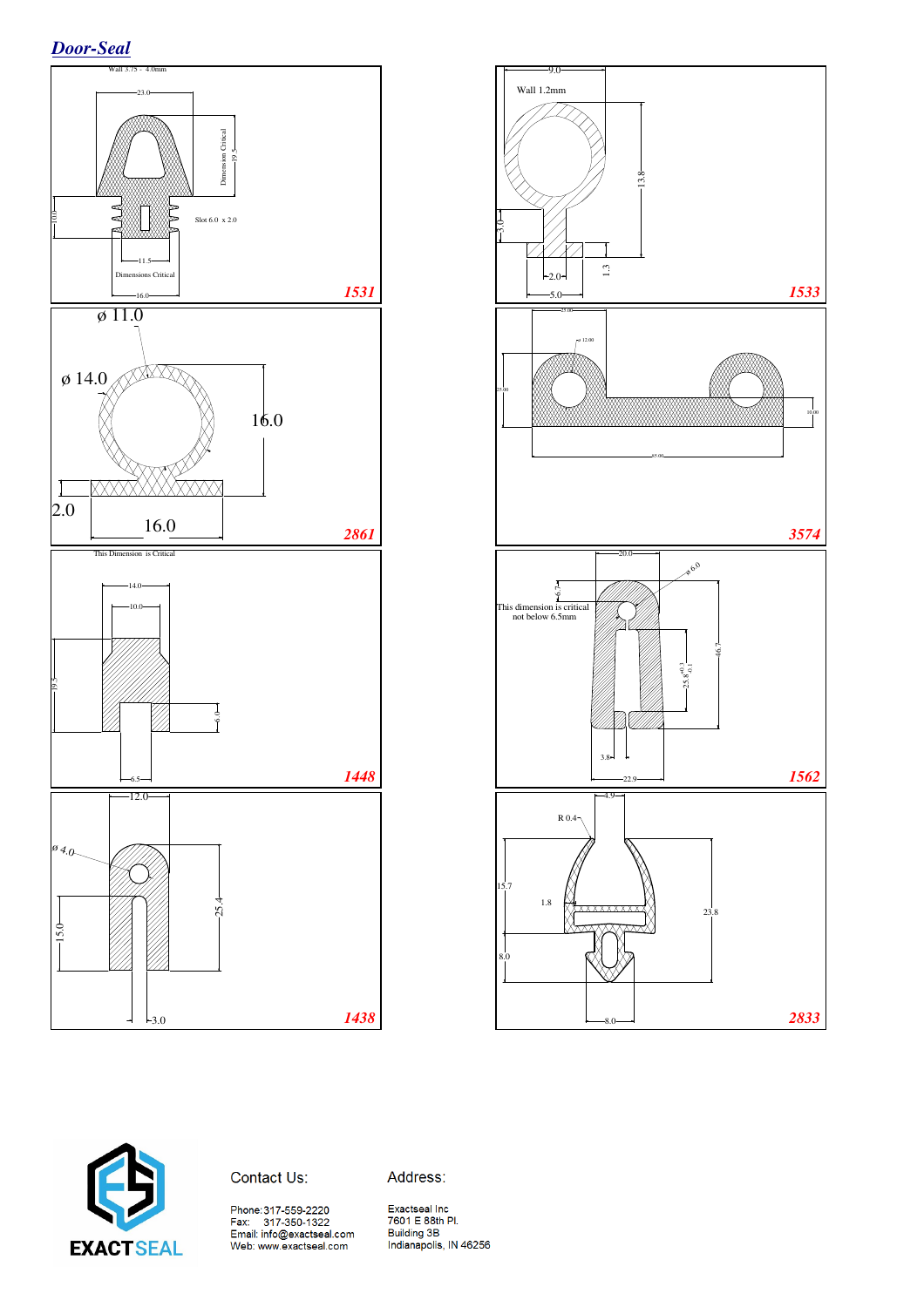*Door-Seal*



![](_page_10_Figure_2.jpeg)

![](_page_10_Picture_3.jpeg)

Address: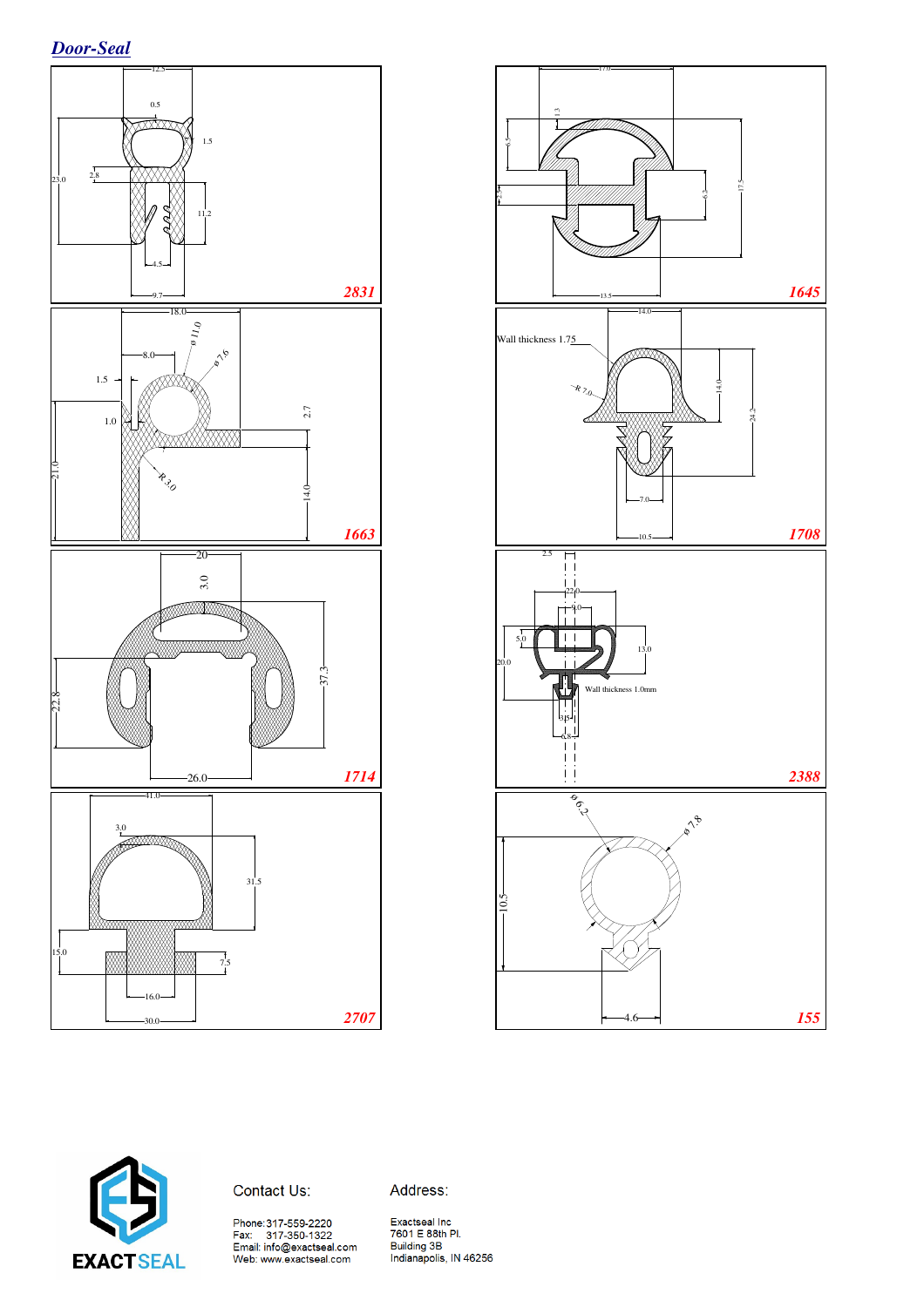![](_page_11_Figure_1.jpeg)

![](_page_11_Figure_2.jpeg)

![](_page_11_Picture_3.jpeg)

Contact Us:

Address:

Phone:317-559-2220<br>Fax: 317-350-1322<br>Email: info@exactseal.com<br>Web: www.exactseal.com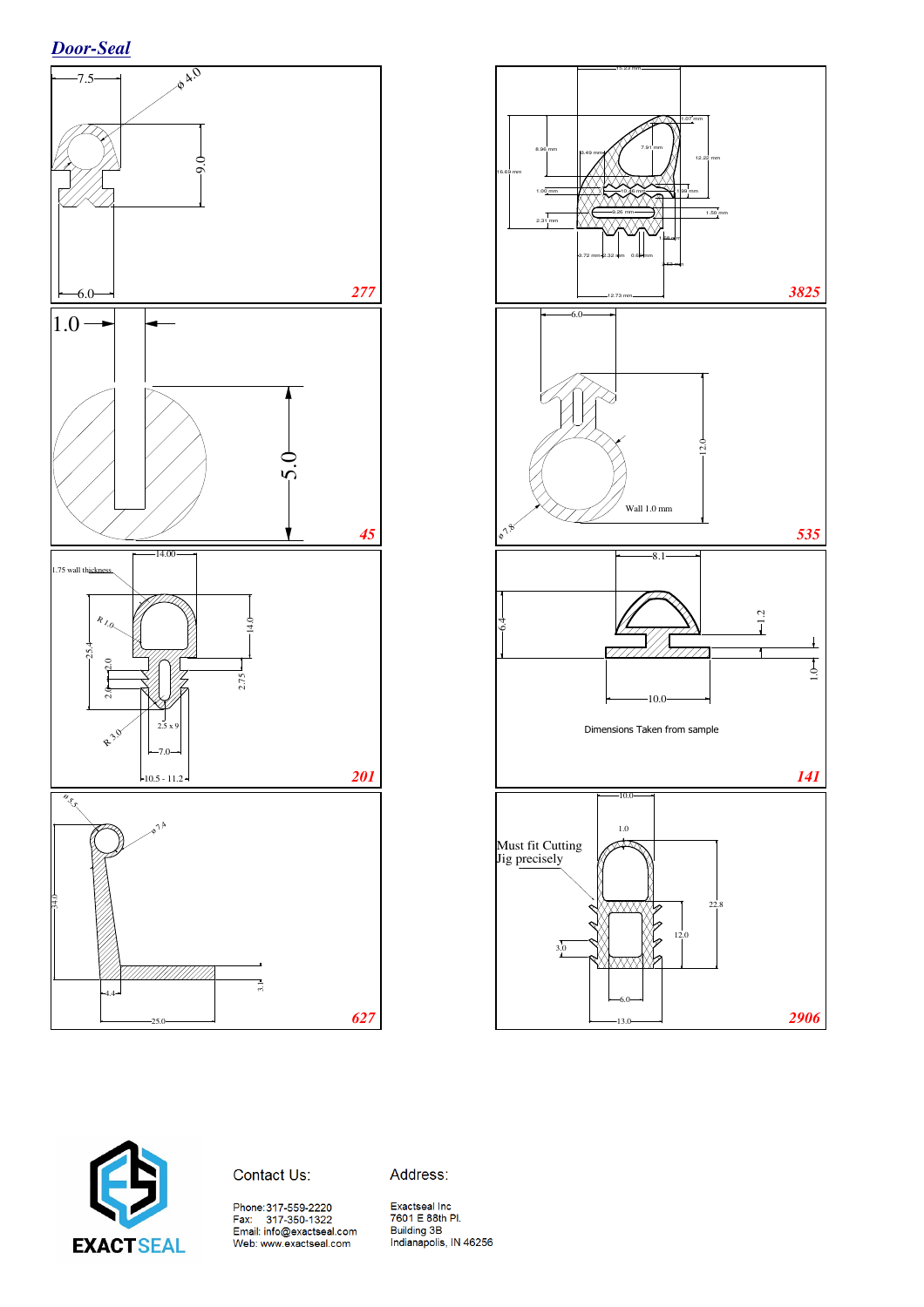![](_page_12_Figure_1.jpeg)

![](_page_12_Figure_2.jpeg)

![](_page_12_Picture_3.jpeg)

Contact Us:

Address: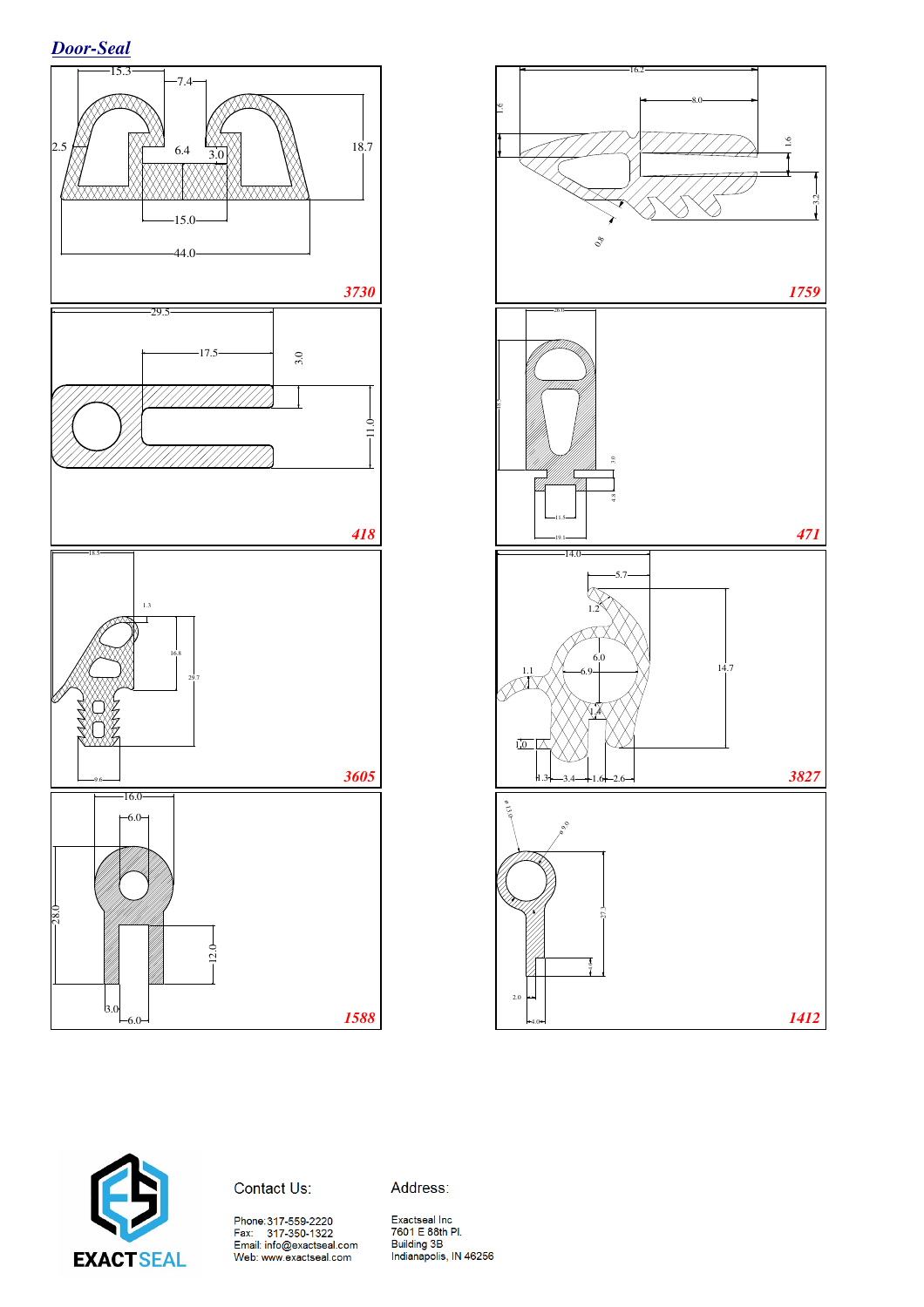![](_page_13_Figure_1.jpeg)

![](_page_13_Figure_2.jpeg)

![](_page_13_Picture_3.jpeg)

Contact Us:

Address:

Phone:317-559-2220<br>Fax: 317-350-1322<br>Email: info@exactseal.com<br>Web: www.exactseal.com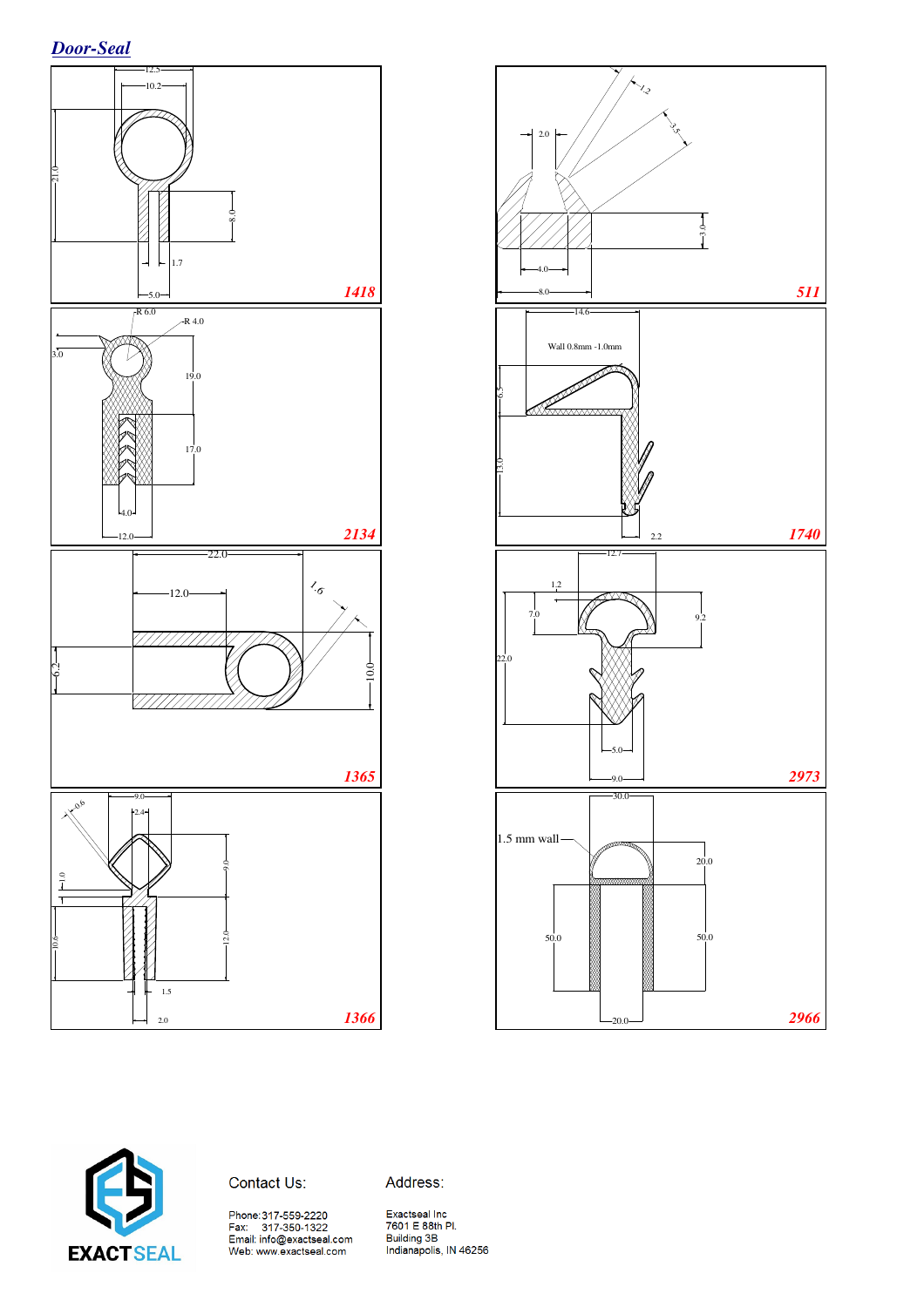*Door-Seal*

![](_page_14_Figure_1.jpeg)

![](_page_14_Figure_2.jpeg)

![](_page_14_Picture_3.jpeg)

Address:

Phone:317-559-2220<br>Fax: 317-350-1322<br>Email: info@exactseal.com<br>Web: www.exactseal.com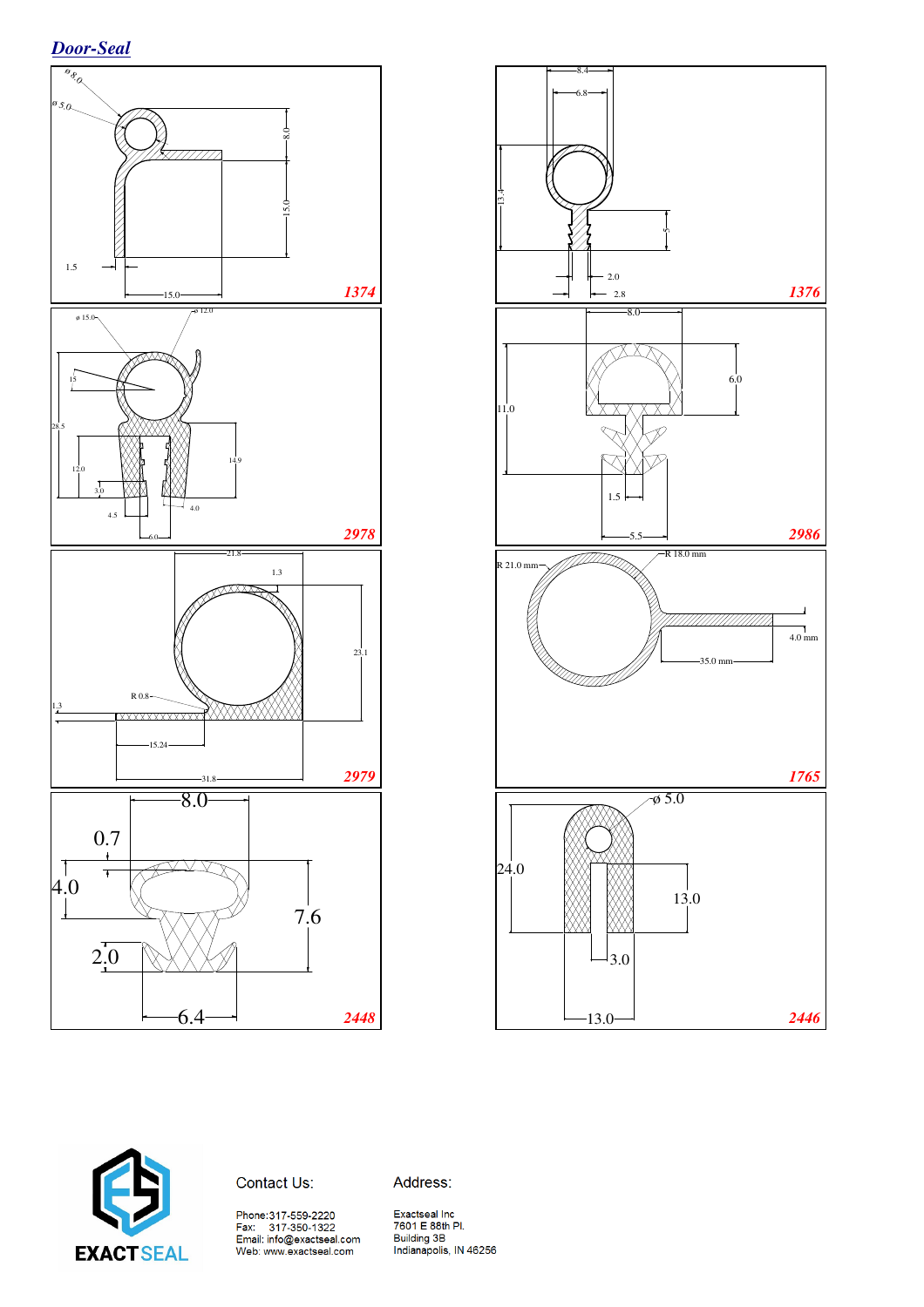![](_page_15_Figure_1.jpeg)

![](_page_15_Figure_2.jpeg)

![](_page_15_Picture_3.jpeg)

Contact Us:

Address:

Phone:317-559-2220<br>Fax: 317-350-1322<br>Email: info@exactseal.com<br>Web: www.exactseal.com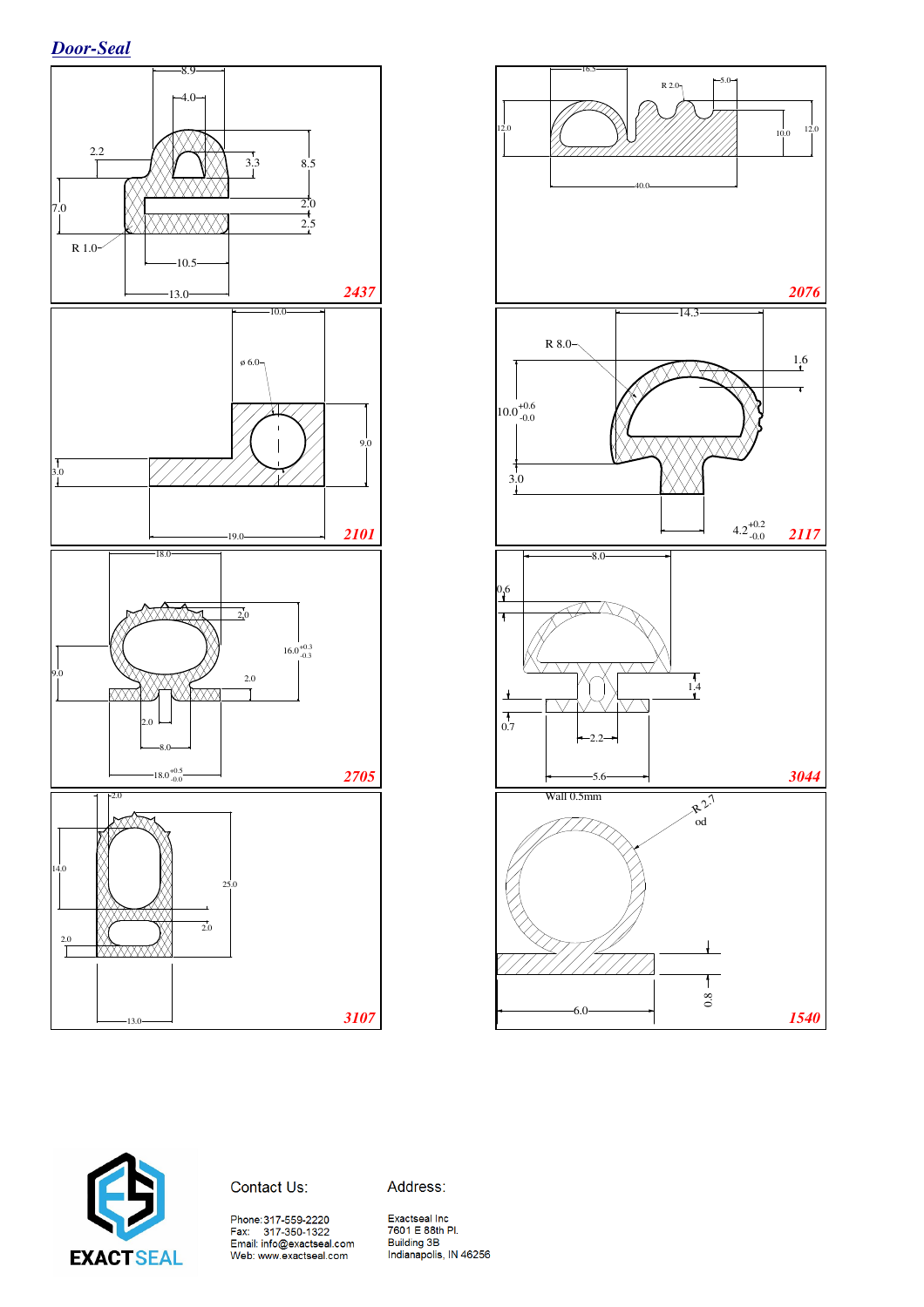![](_page_16_Figure_1.jpeg)

![](_page_16_Figure_2.jpeg)

![](_page_16_Picture_3.jpeg)

Address:

Phone:317-559-2220<br>Fax: 317-350-1322<br>Email: info@exactseal.com<br>Web: www.exactseal.com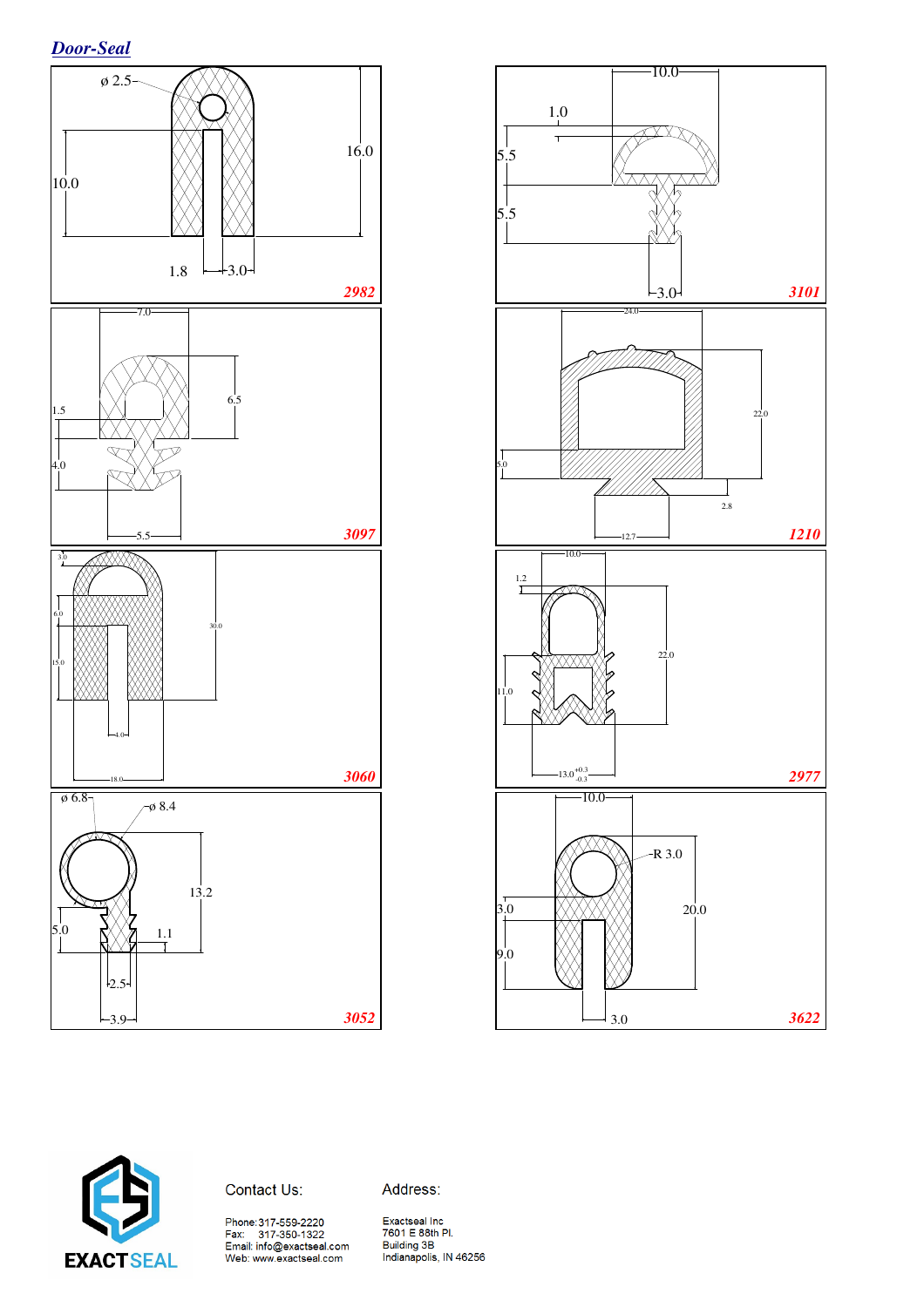*Door-Seal*

![](_page_17_Figure_1.jpeg)

![](_page_17_Figure_2.jpeg)

![](_page_17_Picture_3.jpeg)

Address:

Phone:317-559-2220<br>Fax: 317-350-1322<br>Email: info@exactseal.com<br>Web: www.exactseal.com